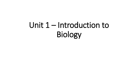# Unit 1 – Introduction to Biology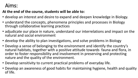### Aims:

#### **At the end of the course, students will be able to:**

- develop an interest and desire to expand and deepen knowledge in Biology.
- understand the concepts, phenomena principles and processes in Biology through collaborative learning practices
- adjudicate our place in nature, understand our interrelations and impact on the natural and social environment
- develop the ability to plan investigations, and solve problems in Biology
- Develop a sense of belonging to the environment and identify the country's natural habitats, together with a positive attitude towards fauna and flora, in order to foster responsibility and involvement in preserving and protecting nature and the quality of the environment.
- Develop sensitivity to current practical problems of everyday life.
- Develop an awareness of good habits for maintaining hygiene, health and quality of life.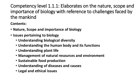Competency level 1.1.1: Elaborates on the nature, scope and importance of biology with reference to challenges faced by the mankind

**Contents:**

- **Nature, Scope and importance of biology**
- **Issues pertaining to biology** 
	- **Understanding biological diversity**
	- **Understanding the human body and its functions**
	- **Understanding plant life**
	- **Management of natural resources and environment**
	- **Sustainable food production**
	- **Understanding of diseases and causes**
	- **Legal and ethical issues**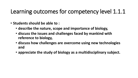# Learning outcomes for competency level 1.1.1

- **Students should be able to :**
	- **describe the nature, scope and importance of biology,**
	- **discuss the issues and challenges faced by mankind with reference to biology,**
	- **discuss how challenges are overcome using new technologies and**
	- **appreciate the study of biology as a multidisciplinary subject.**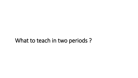### What to teach in two periods ?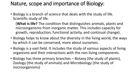### Nature, scope and importance of Biology:

• Biology is a branch of science that deals with the study of life. Scientific study of life.

(**What is life?** The condition that distinguishes animals, plants and microorganisms from inorganic matter. This includes capacity for growth, reproduction, functional activity, and continual change).

- Biology helps to know about the diversity in the living world, the ways by which it can be conserved, more about ourselves.
- Biology is a vast field. It includes the study of various aspects of living organisms and their interactions with the non-living components.
- Biology has three primary branches Botany (the study of plants), Zoology (the study of animals) and Microbiology (the study of microorganisms)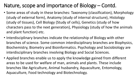# Nature, scope and importance of Biology – Contd.

- Some areas of study in these branches: Taxonomy (classification), Morphology (study of external form), Anatomy (study of internal structure), Histology (study of tissues), Cell Biology (Study of cells), Genetics (study of how characters pass to the next generation), Physiology (study of how the animals and plant function) etc.
- Interdisciplinary branches indicate the relationship of Biology with other branches of science. Some common interdisciplinary branches are Biophysics, Biochemistry, Biometry and Bioinformatics. Psychology and Sociobiology are interdisciplinary branches involving Biology and Social Sciences.
- Applied branches enable us to apply the knowledge gained from different areas to be used for welfare of man, animals and plants. These include branches like Agriculture, Animal husbandry, Aquaculture, Entomology, Aquaculture, Food technology and Biotechnology.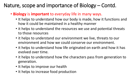### Nature, scope and importance of Biology – Contd.

- **Biology** is **important** to everyday life in many ways.
	- It helps to understand how our body is made, how it functions and how it could be maintained in a healthy manner
	- it helps to understand the resources we use and potential threats to those resources
	- it helps to understand our environment we live, threats to our environment and how we could conserve our environment.
	- it helps to understand how life originated on earth and how it has evolved over time.
	- it helps to understand how the characters pass from generation to generation.
	- It helps to improve our health
	- It helps to increase food production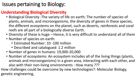### Issues pertaining to Biology:

#### **Understanding Biological Diversity**

- Biological Diversity :The variety of life on earth; The number of species of plants, animals, and microorganisms, the diversity of genes in these species, the different ecosystems on the planet, such as deserts, rainforests and coral reefs are all part of a biologically diverse Earth.
- Diversity of these is huge Hence, it is very difficult to understand all of them
- Number of species on earth:
	- Estimated Number: 10 -100 million
	- Described and catalogued: 1.2 million
- Number of genes in humans: 19,000-20,000
- Number of ecosystems: An ecosystem includes all of the living things (plants, animals and microorganisms) in a given area, interacting with each other, and also with their non-living environments : How many ???

How challenges could be overcome by new technologies?: Molecular Biology, genetic engineering,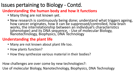#### **Understanding the human body and how it functions**

- Many thing are not known yet.
- New research is continuously being done; understand what triggers ageing, how cancer originates, how it can be suppressed/controlled, how brain works, the interrelationship between an individual's characteristics (phenotype) and its DNA sequence, - Use of molecular Biology, Nanotechnology, Biophysics, DNA Technology

#### **Understanding the plant life**

- Many are not known about plant life too.
- How plants function?
- How they synthesize various material in their bodies?

How challenges are over come by new technologies?:

Use of molecular Biology, Nanotechnology, Biophysics, DNA Technology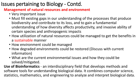#### **Management of natural resources and environment**

- Very important issue
- Must fill existing gaps in our understanding of the processes that produce biodiversity and contribute to its loss, and to gain a fundamental understanding of how diversity affects productivity, and invasive ability of certain species and anthropogenic impacts
- How utilization of natural resources could be managed to get the benefits in a sustainable manner
- How environment could be managed
- How degraded environments could be restored (Discuss with current information)
- What are the current environmental issues and how they could be solved/mitigated.

**Use of Bioinformatics** - an interdisciplinary field that develops methods and software tools for understanding biological data. It combines computer science, statistics, mathematics, and engineering to analyze and interpret biological data.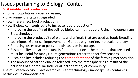#### **Sustainable food production**

- Human population is ever increasing
- Environment is getting degraded
- How these affect food production?
- How Biology can contribute to increase food production?
	- Improving the quality of the soil by biological methods e.g. Using microorganisms Biotechnology
	- Improving the productivity of plants and animals that are used as food: Breeding techniques, Genetical improvement – Genetic engineering, molecular biology
	- Reducing losses due to pests and diseases or in storage.
	- Sustainability is also important in food production the methods that are used must be useful for many future generations rather than for few seasons.
	- Sustainability includes reducing the carbon footprint of the farming methods also.
	- The amount of carbon dioxide released into the atmosphere as a result of the activities of a particular individual, organization, or community.

Use of Biotechnology – Give examples; Nanotechnology - nanocapsules containing herbicides; bionanosensors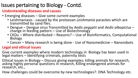#### **Understanding diseases and causes**

- Emerging diseases Give some current examples
	- Leishmaniasis caused by the protozoan *Leishmania* parasites which are transmitted by sand flies.
	- Dengue Dengue virus Transmitted by *Aedis aegyptii* and *Aedis albopictus* change in feeding pattern – Use of Biotechnology
	- CKDu Where distributed Reasons? Use of Bioinformatics, Computational Biology
	- Cancer Many research is being done Use of Nanomedicine Nanorobots

#### **Legal and ethical issues**

Give current examples where modern technology in Biology has been used in legal matters – Identifying criminals, paternity tests

Ethical issues in Biology – Discuss giving examples; killing animals for research, asking highly personal questions in research, Killing endangered animals for research, etc.,

How challenges could be overcome by new technologies?: DNA Technology etc.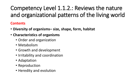# Competency Level 1.1.2.: Reviews the nature and organizational patterns of the living world

#### **Contents**

- **Diversity of organisms– size, shape, form, habitat**
- **Characteristics of organisms** 
	- Order and organization
	- Metabolism
	- Growth and development
	- Irritability and coordination
	- Adaptation
	- Reproduction
	- Heredity and evolution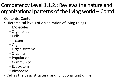# Competency Level 1.1.2.: Reviews the nature and organizational patterns of the living world – Contd.

Contents: Contd.

- Hierarchical levels of organization of living things
	- Molecules
	- Organelles
	- Cells
	- Tissues
	- Organs
	- Organ systems
	- Organism
	- Population
	- Community
	- Ecosystem
	- Biosphere
- Cell as the basic structural and functional unit of life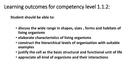### Learning outcomes for competency level 1.1.2:

**Student should be able to:** 

- **discuss the wide range in shapes, sizes , forms and habitats of living organisms**
- **elaborate characteristics of living organisms**
- **construct the hierarchical levels of organization with suitable examples**
- **justify the cell as the basic structural and functional unit of life**
- **appreciate all kind of organisms and their interactions**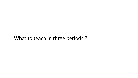### What to teach in three periods ?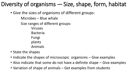# Diversity of organisms -– Size, shape, form, habitat

- Give the sizes of organisms of different groups: Microbes – Blue whale Size ranges of different groups: Viruses Bacteria Fungi plants Animals
- State the shapes
- Indicate the shapes of microscopic organisms Give examples
- Also indicate that some do not have a definite shape Give examples
- Variation of shape of animals Get examples from students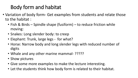# Body form and habitat

- Variation of body form- Get examples from students and relate those to the habitat :
	- Fish & Birds Spindle shape (fusiform) to reduce friction while moving:
	- Snakes: Long slender body: to creep
	- Elephant: Trunk, large legs for what?
	- Horse: Narrow body and long slender legs with reduced number of digits
	- Whale and any other marine mammal- ?????
	- Show pictures
	- Give some more examples to make the lecture interesting.
	- Let the students think how body form is related to their habitat.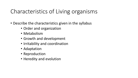# Characteristics of Living organisms

- Describe the characteristics given in the syllabus
	- Order and organization
	- Metabolism
	- Growth and development
	- Irritability and coordination
	- Adaptation
	- Reproduction
	- Heredity and evolution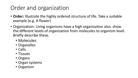# Order and organization

- **Order:** Illustrate the highly ordered structure of life. Take a suitable example (e.g. A flower)
- Organization: Living organisms have a high organization also. show the different levels of organization from molecules to organism level. Briefly describe these.
	- Molecules
	- Organelles
	- Cells
	- Tissues
	- Organs
	- Organ systems
	- Organism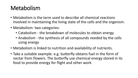# Metabolism

- Metabolism is the term used to describe all chemical reactions involved in maintaining the living state of the cells and the organism.
- Metabolism: two categories:
	- Catabolism the breakdown of molecules to obtain energy
	- Anabolism the synthesis of all compounds needed by the cells using energy
- Metabolism is linked to nutrition and availability of nutrients.
- Take a suitable example: e.g. butterfly obtains fuel in the form of nectar from flowers. The butterfly use chemical energy stored in its food to provide energy for flight and other work.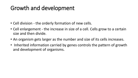# Growth and development

- Cell division the orderly formation of new cells.
- Cell enlargement the increase in size of a cell. Cells grow to a certain size and then divide.
- An organism gets larger as the number and size of its cells increases.
- Inherited information carried by genes controls the pattern of growth and development of organisms.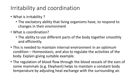# Irritability and coordination

- What is irritability ?
	- The excitatory ability that living organisms have, to respond to changes in their environment
- What is coordination?
	- The ability to use different parts of the body together smoothly and efficiently.
- This is needed to maintain internal environment in an optimum condition – Homeostasis; and also to regulate the activities of the body. Explain giving suitable example.
- The regulation of blood flow through the blood vessels of the ears of some mammals (e.g. Elephant) helps to maintain a constant body temperature by adjusting heat exchange with the surrounding air.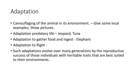# Adaptation

- Camouflaging of the animal in its environment. Give some local examples; Show pictures.
- Adaptation predatory life leopard, Tuna
- Adaptation to gather food and ingest Elephant
- Adaptation to flight -
- Such adaptations evolve over many generations by the reproductive success of those individuals with heritable traits that are best suited to their environments.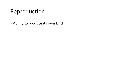# Reproduction

• Ability to produce its own kind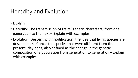# Heredity and Evolution

- Explain
- Heredity: The transmission of traits (genetic characters) from one generation to the next – Explain with examples
- Evolution: Descent with modification; the idea that living species are descendants of ancestral species that were different from the present- day ones; also defined as the change in the genetic composition of a population from generation to generation –Explain with examples